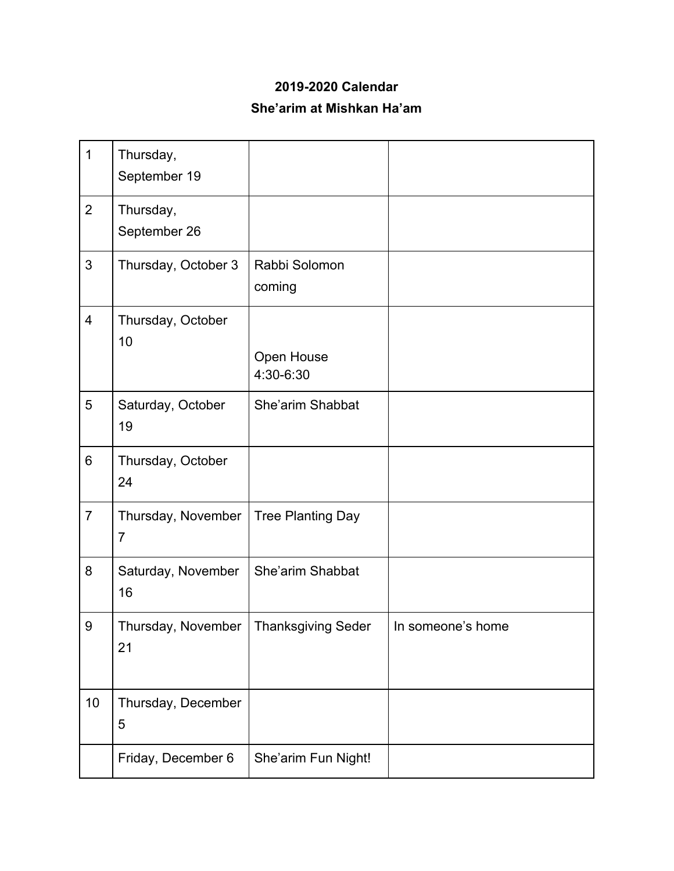## **2019-2020 Calendar She'arim at Mishkan Ha'am**

| $\mathbf{1}$             | Thursday,<br>September 19            |                           |                   |
|--------------------------|--------------------------------------|---------------------------|-------------------|
| $\overline{2}$           | Thursday,<br>September 26            |                           |                   |
| 3                        | Thursday, October 3                  | Rabbi Solomon<br>coming   |                   |
| $\overline{\mathcal{A}}$ | Thursday, October<br>10              | Open House<br>4:30-6:30   |                   |
| 5                        | Saturday, October<br>19              | She'arim Shabbat          |                   |
| 6                        | Thursday, October<br>24              |                           |                   |
| $\overline{7}$           | Thursday, November<br>$\overline{7}$ | <b>Tree Planting Day</b>  |                   |
| 8                        | Saturday, November<br>16             | She'arim Shabbat          |                   |
| 9                        | Thursday, November<br>21             | <b>Thanksgiving Seder</b> | In someone's home |
| 10                       | Thursday, December<br>5              |                           |                   |
|                          | Friday, December 6                   | She'arim Fun Night!       |                   |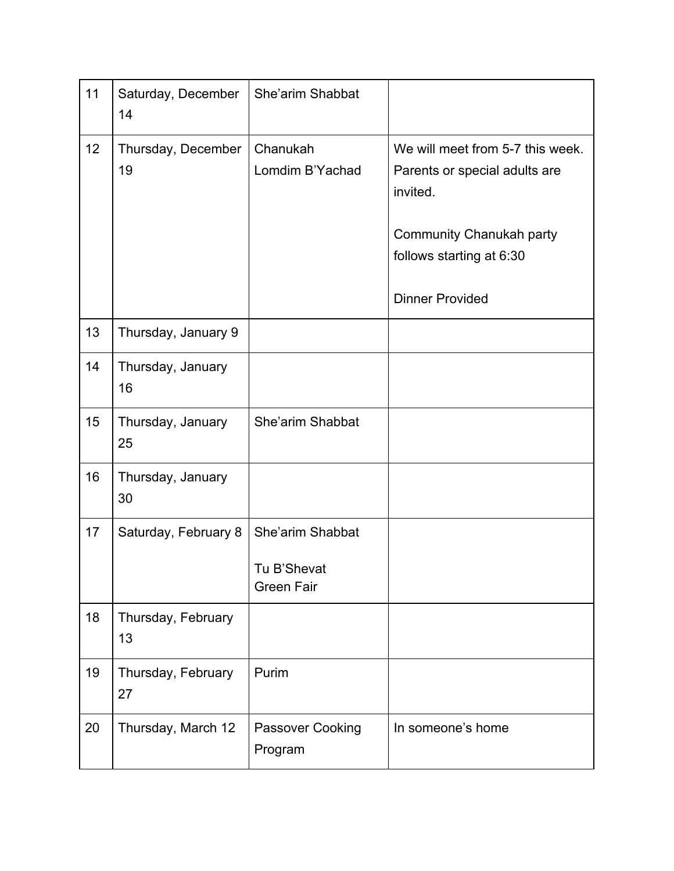| 11 | Saturday, December<br>14 | She'arim Shabbat                 |                                                                                                                                       |
|----|--------------------------|----------------------------------|---------------------------------------------------------------------------------------------------------------------------------------|
| 12 | Thursday, December<br>19 | Chanukah<br>Lomdim B'Yachad      | We will meet from 5-7 this week.<br>Parents or special adults are<br>invited.<br>Community Chanukah party<br>follows starting at 6:30 |
|    |                          |                                  | <b>Dinner Provided</b>                                                                                                                |
| 13 | Thursday, January 9      |                                  |                                                                                                                                       |
| 14 | Thursday, January<br>16  |                                  |                                                                                                                                       |
| 15 | Thursday, January<br>25  | She'arim Shabbat                 |                                                                                                                                       |
| 16 | Thursday, January<br>30  |                                  |                                                                                                                                       |
| 17 | Saturday, February 8     | She'arim Shabbat                 |                                                                                                                                       |
|    |                          | Tu B'Shevat<br><b>Green Fair</b> |                                                                                                                                       |
| 18 | Thursday, February<br>13 |                                  |                                                                                                                                       |
| 19 | Thursday, February<br>27 | Purim                            |                                                                                                                                       |
| 20 | Thursday, March 12       | Passover Cooking<br>Program      | In someone's home                                                                                                                     |